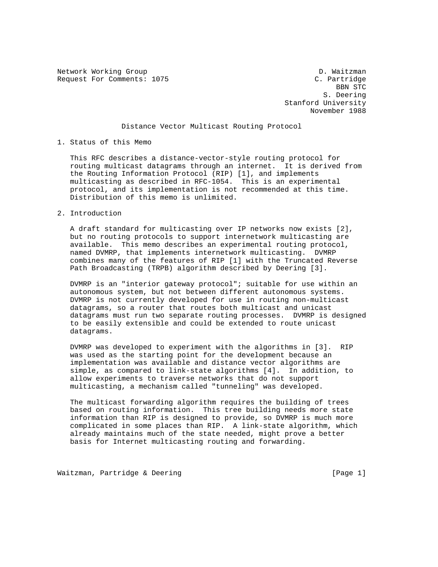Network Working Group and the set of the set of the D. Waitzman

Request For Comments: 1075 C. Partridge<br>BBN STC BBN STC S. Deering Stanford University November 1988

## Distance Vector Multicast Routing Protocol

## 1. Status of this Memo

 This RFC describes a distance-vector-style routing protocol for routing multicast datagrams through an internet. It is derived from the Routing Information Protocol (RIP) [1], and implements multicasting as described in RFC-1054. This is an experimental protocol, and its implementation is not recommended at this time. Distribution of this memo is unlimited.

## 2. Introduction

 A draft standard for multicasting over IP networks now exists [2], but no routing protocols to support internetwork multicasting are available. This memo describes an experimental routing protocol, named DVMRP, that implements internetwork multicasting. DVMRP combines many of the features of RIP [1] with the Truncated Reverse Path Broadcasting (TRPB) algorithm described by Deering [3].

 DVMRP is an "interior gateway protocol"; suitable for use within an autonomous system, but not between different autonomous systems. DVMRP is not currently developed for use in routing non-multicast datagrams, so a router that routes both multicast and unicast datagrams must run two separate routing processes. DVMRP is designed to be easily extensible and could be extended to route unicast datagrams.

 DVMRP was developed to experiment with the algorithms in [3]. RIP was used as the starting point for the development because an implementation was available and distance vector algorithms are simple, as compared to link-state algorithms [4]. In addition, to allow experiments to traverse networks that do not support multicasting, a mechanism called "tunneling" was developed.

 The multicast forwarding algorithm requires the building of trees based on routing information. This tree building needs more state information than RIP is designed to provide, so DVMRP is much more complicated in some places than RIP. A link-state algorithm, which already maintains much of the state needed, might prove a better basis for Internet multicasting routing and forwarding.

Waitzman, Partridge & Deering [Page 1]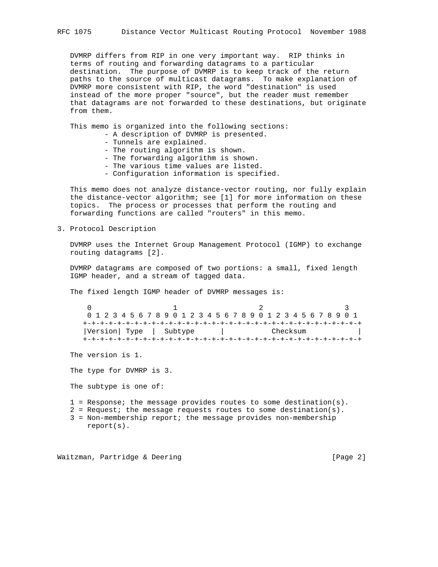DVMRP differs from RIP in one very important way. RIP thinks in terms of routing and forwarding datagrams to a particular destination. The purpose of DVMRP is to keep track of the return paths to the source of multicast datagrams. To make explanation of DVMRP more consistent with RIP, the word "destination" is used instead of the more proper "source", but the reader must remember that datagrams are not forwarded to these destinations, but originate from them.

This memo is organized into the following sections:

- A description of DVMRP is presented.
- Tunnels are explained.
- The routing algorithm is shown.
- The forwarding algorithm is shown.
- The various time values are listed.
- Configuration information is specified.

 This memo does not analyze distance-vector routing, nor fully explain the distance-vector algorithm; see [1] for more information on these topics. The process or processes that perform the routing and forwarding functions are called "routers" in this memo.

3. Protocol Description

 DVMRP uses the Internet Group Management Protocol (IGMP) to exchange routing datagrams [2].

 DVMRP datagrams are composed of two portions: a small, fixed length IGMP header, and a stream of tagged data.

The fixed length IGMP header of DVMRP messages is:

0  $1$  2 3 0 1 2 3 4 5 6 7 8 9 0 1 2 3 4 5 6 7 8 9 0 1 2 3 4 5 6 7 8 9 0 1 +-+-+-+-+-+-+-+-+-+-+-+-+-+-+-+-+-+-+-+-+-+-+-+-+-+-+-+-+-+-+-+-+ |Version| Type | Subtype | Checksum +-+-+-+-+-+-+-+-+-+-+-+-+-+-+-+-+-+-+-+-+-+-+-+-+-+-+-+-+-+-+-+-+

The version is 1.

The type for DVMRP is 3.

The subtype is one of:

1 = Response; the message provides routes to some destination(s).

- $2$  = Request; the message requests routes to some destination(s). 3 = Non-membership report; the message provides non-membership
	- report(s).

Waitzman, Partridge & Deering [Page 2]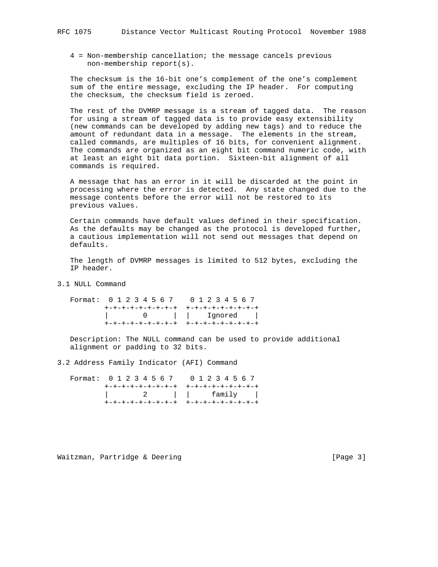4 = Non-membership cancellation; the message cancels previous non-membership report(s).

 The checksum is the 16-bit one's complement of the one's complement sum of the entire message, excluding the IP header. For computing the checksum, the checksum field is zeroed.

 The rest of the DVMRP message is a stream of tagged data. The reason for using a stream of tagged data is to provide easy extensibility (new commands can be developed by adding new tags) and to reduce the amount of redundant data in a message. The elements in the stream, called commands, are multiples of 16 bits, for convenient alignment. The commands are organized as an eight bit command numeric code, with at least an eight bit data portion. Sixteen-bit alignment of all commands is required.

 A message that has an error in it will be discarded at the point in processing where the error is detected. Any state changed due to the message contents before the error will not be restored to its previous values.

 Certain commands have default values defined in their specification. As the defaults may be changed as the protocol is developed further, a cautious implementation will not send out messages that depend on defaults.

 The length of DVMRP messages is limited to 512 bytes, excluding the IP header.

3.1 NULL Command

 Format: 0 1 2 3 4 5 6 7 0 1 2 3 4 5 6 7 +-+-+-+-+-+-+-+-+ +-+-+-+-+-+-+-+-+ | 0 | | Ignored | +-+-+-+-+-+-+-+-+ +-+-+-+-+-+-+-+-+

 Description: The NULL command can be used to provide additional alignment or padding to 32 bits.

3.2 Address Family Indicator (AFI) Command

 Format: 0 1 2 3 4 5 6 7 0 1 2 3 4 5 6 7 +-+-+-+-+-+-+-+-+ +-+-+-+-+-+-+-+-+ | 2 | | family | +-+-+-+-+-+-+-+-+ +-+-+-+-+-+-+-+-+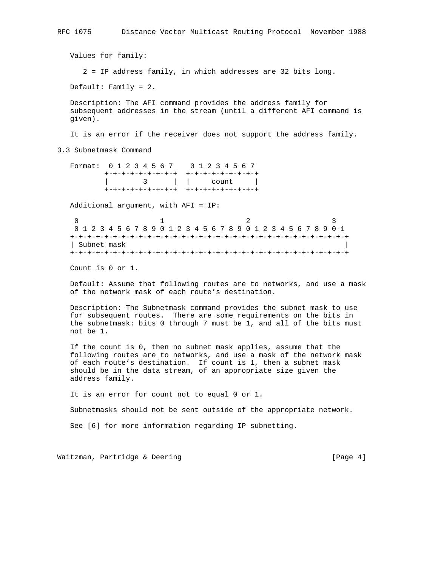Values for family: 2 = IP address family, in which addresses are 32 bits long. Default: Family = 2. Description: The AFI command provides the address family for subsequent addresses in the stream (until a different AFI command is given).

It is an error if the receiver does not support the address family.

3.3 Subnetmask Command

 Format: 0 1 2 3 4 5 6 7 0 1 2 3 4 5 6 7 +-+-+-+-+-+-+-+-+ +-+-+-+-+-+-+-+-+ | 3 | | count | +-+-+-+-+-+-+-+-+ +-+-+-+-+-+-+-+-+

Additional argument, with AFI = IP:

0  $1$  2 3 0 1 2 3 4 5 6 7 8 9 0 1 2 3 4 5 6 7 8 9 0 1 2 3 4 5 6 7 8 9 0 1 +-+-+-+-+-+-+-+-+-+-+-+-+-+-+-+-+-+-+-+-+-+-+-+-+-+-+-+-+-+-+-+-+ | Subnet mask | +-+-+-+-+-+-+-+-+-+-+-+-+-+-+-+-+-+-+-+-+-+-+-+-+-+-+-+-+-+-+-+-+

Count is 0 or 1.

 Default: Assume that following routes are to networks, and use a mask of the network mask of each route's destination.

 Description: The Subnetmask command provides the subnet mask to use for subsequent routes. There are some requirements on the bits in the subnetmask: bits 0 through 7 must be 1, and all of the bits must not be 1.

 If the count is 0, then no subnet mask applies, assume that the following routes are to networks, and use a mask of the network mask of each route's destination. If count is 1, then a subnet mask should be in the data stream, of an appropriate size given the address family.

It is an error for count not to equal 0 or 1.

Subnetmasks should not be sent outside of the appropriate network.

See [6] for more information regarding IP subnetting.

Waitzman, Partridge & Deering The Control of the Change 41 (Page 41)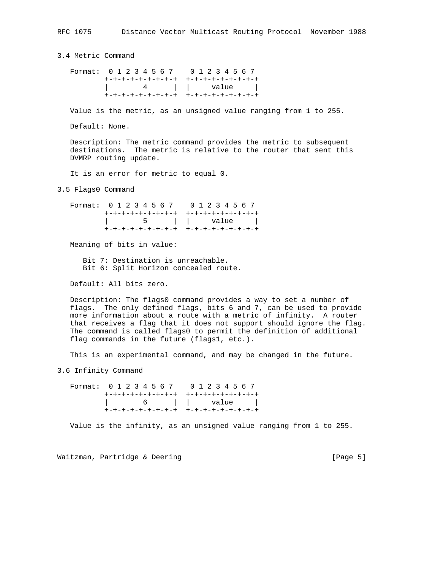3.4 Metric Command

Format: 0 1 2 3 4 5 6 7 0 1 2 3 4 5 6 7 +-+-+-+-+-+-+-+-+ +-+-+-+-+-+-+-+-+ | 4 | | value | +-+-+-+-+-+-+-+-+ +-+-+-+-+-+-+-+-+

Value is the metric, as an unsigned value ranging from 1 to 255.

Default: None.

 Description: The metric command provides the metric to subsequent destinations. The metric is relative to the router that sent this DVMRP routing update.

It is an error for metric to equal 0.

3.5 Flags0 Command

 Format: 0 1 2 3 4 5 6 7 0 1 2 3 4 5 6 7 +-+-+-+-+-+-+-+-+ +-+-+-+-+-+-+-+-+ | 5 | | value | +-+-+-+-+-+-+-+-+ +-+-+-+-+-+-+-+-+

Meaning of bits in value:

 Bit 7: Destination is unreachable. Bit 6: Split Horizon concealed route.

Default: All bits zero.

 Description: The flags0 command provides a way to set a number of flags. The only defined flags, bits 6 and 7, can be used to provide more information about a route with a metric of infinity. A router that receives a flag that it does not support should ignore the flag. The command is called flags0 to permit the definition of additional flag commands in the future (flags1, etc.).

This is an experimental command, and may be changed in the future.

3.6 Infinity Command

 Format: 0 1 2 3 4 5 6 7 0 1 2 3 4 5 6 7 +-+-+-+-+-+-+-+-+ +-+-+-+-+-+-+-+-+ | 6 | | value | +-+-+-+-+-+-+-+-+ +-+-+-+-+-+-+-+-+

Value is the infinity, as an unsigned value ranging from 1 to 255.

Waitzman, Partridge & Deering [Page 5]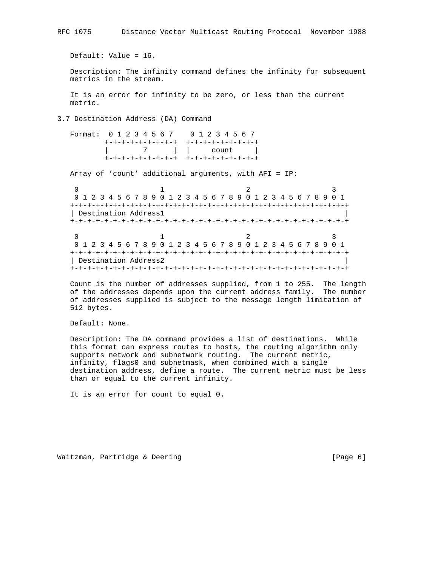Default: Value = 16.

 Description: The infinity command defines the infinity for subsequent metrics in the stream.

 It is an error for infinity to be zero, or less than the current metric.

3.7 Destination Address (DA) Command

| Format: 0 1 2 3 4 5 6 7 0 1 2 3 4 5 6 7 |                                        |
|-----------------------------------------|----------------------------------------|
|                                         | +-+-+-+-+-+-+-+-+  +-+-+-+-+-+-+-+-+-  |
|                                         |                                        |
|                                         | +-+-+-+-+-+-+-+-+  +-+-+-+-+-+-+-+-+-+ |

Array of 'count' additional arguments, with AFI = IP:

0  $1$  2 3 0 1 2 3 4 5 6 7 8 9 0 1 2 3 4 5 6 7 8 9 0 1 2 3 4 5 6 7 8 9 0 1 +-+-+-+-+-+-+-+-+-+-+-+-+-+-+-+-+-+-+-+-+-+-+-+-+-+-+-+-+-+-+-+-+ | Destination Address1 | +-+-+-+-+-+-+-+-+-+-+-+-+-+-+-+-+-+-+-+-+-+-+-+-+-+-+-+-+-+-+-+-+ 0  $1$  2 3 0 1 2 3 4 5 6 7 8 9 0 1 2 3 4 5 6 7 8 9 0 1 2 3 4 5 6 7 8 9 0 1 +-+-+-+-+-+-+-+-+-+-+-+-+-+-+-+-+-+-+-+-+-+-+-+-+-+-+-+-+-+-+-+-+ | Destination Address2 +-+-+-+-+-+-+-+-+-+-+-+-+-+-+-+-+-+-+-+-+-+-+-+-+-+-+-+-+-+-+-+-+

 Count is the number of addresses supplied, from 1 to 255. The length of the addresses depends upon the current address family. The number of addresses supplied is subject to the message length limitation of 512 bytes.

Default: None.

 Description: The DA command provides a list of destinations. While this format can express routes to hosts, the routing algorithm only supports network and subnetwork routing. The current metric, infinity, flags0 and subnetmask, when combined with a single destination address, define a route. The current metric must be less than or equal to the current infinity.

It is an error for count to equal 0.

Waitzman, Partridge & Deering and the control of the state of the page 6]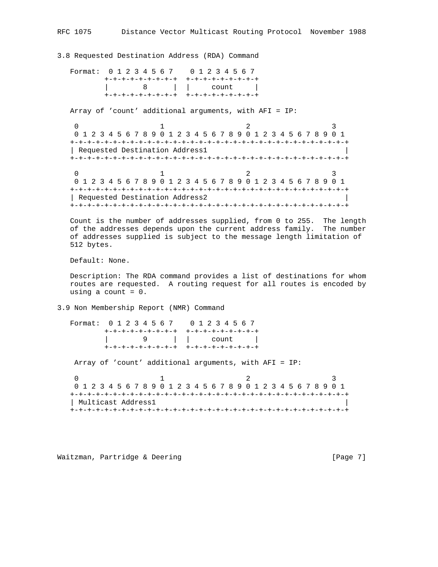3.8 Requested Destination Address (RDA) Command

Format: 0 1 2 3 4 5 6 7 0 1 2 3 4 5 6 7 +-+-+-+-+-+-+-+-+ +-+-+-+-+-+-+-+-+ | 8 | | count | +-+-+-+-+-+-+-+-+ +-+-+-+-+-+-+-+-+

Array of 'count' additional arguments, with AFI = IP:

0  $1$  2 3 0 1 2 3 4 5 6 7 8 9 0 1 2 3 4 5 6 7 8 9 0 1 2 3 4 5 6 7 8 9 0 1 +-+-+-+-+-+-+-+-+-+-+-+-+-+-+-+-+-+-+-+-+-+-+-+-+-+-+-+-+-+-+-+-+ | Requested Destination Address1 | +-+-+-+-+-+-+-+-+-+-+-+-+-+-+-+-+-+-+-+-+-+-+-+-+-+-+-+-+-+-+-+-+ 0  $1$  2 3 0 1 2 3 4 5 6 7 8 9 0 1 2 3 4 5 6 7 8 9 0 1 2 3 4 5 6 7 8 9 0 1 +-+-+-+-+-+-+-+-+-+-+-+-+-+-+-+-+-+-+-+-+-+-+-+-+-+-+-+-+-+-+-+-+ | Requested Destination Address2 | +-+-+-+-+-+-+-+-+-+-+-+-+-+-+-+-+-+-+-+-+-+-+-+-+-+-+-+-+-+-+-+-+

 Count is the number of addresses supplied, from 0 to 255. The length of the addresses depends upon the current address family. The number of addresses supplied is subject to the message length limitation of 512 bytes.

Default: None.

 Description: The RDA command provides a list of destinations for whom routes are requested. A routing request for all routes is encoded by using a count  $= 0$ .

3.9 Non Membership Report (NMR) Command

 Format: 0 1 2 3 4 5 6 7 0 1 2 3 4 5 6 7 +-+-+-+-+-+-+-+-+ +-+-+-+-+-+-+-+-+ | 9 | | count | +-+-+-+-+-+-+-+-+ +-+-+-+-+-+-+-+-+ Array of 'count' additional arguments, with AFI = IP: 0  $1$  2 3 0 1 2 3 4 5 6 7 8 9 0 1 2 3 4 5 6 7 8 9 0 1 2 3 4 5 6 7 8 9 0 1

 +-+-+-+-+-+-+-+-+-+-+-+-+-+-+-+-+-+-+-+-+-+-+-+-+-+-+-+-+-+-+-+-+ | Multicast Address1 | +-+-+-+-+-+-+-+-+-+-+-+-+-+-+-+-+-+-+-+-+-+-+-+-+-+-+-+-+-+-+-+-+

Waitzman, Partridge & Deering [Page 7]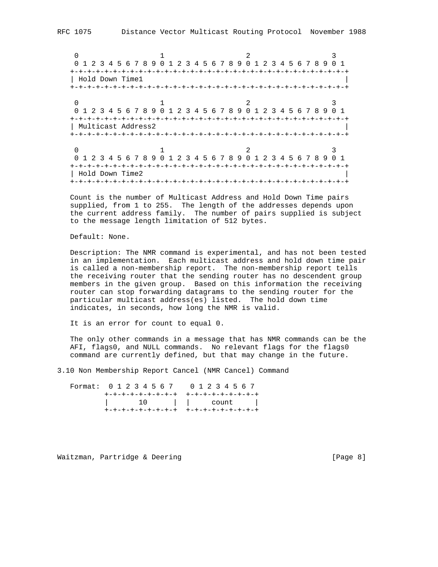RFC 1075 Distance Vector Multicast Routing Protocol November 1988

0  $1$  2 3 0 1 2 3 4 5 6 7 8 9 0 1 2 3 4 5 6 7 8 9 0 1 2 3 4 5 6 7 8 9 0 1 +-+-+-+-+-+-+-+-+-+-+-+-+-+-+-+-+-+-+-+-+-+-+-+-+-+-+-+-+-+-+-+-+ | Hold Down Time1 | +-+-+-+-+-+-+-+-+-+-+-+-+-+-+-+-+-+-+-+-+-+-+-+-+-+-+-+-+-+-+-+-+ 0  $1$  2 3 0 1 2 3 4 5 6 7 8 9 0 1 2 3 4 5 6 7 8 9 0 1 2 3 4 5 6 7 8 9 0 1 +-+-+-+-+-+-+-+-+-+-+-+-+-+-+-+-+-+-+-+-+-+-+-+-+-+-+-+-+-+-+-+-+ | Multicast Address2 | +-+-+-+-+-+-+-+-+-+-+-+-+-+-+-+-+-+-+-+-+-+-+-+-+-+-+-+-+-+-+-+-+ 0  $1$  2 3 0 1 2 3 4 5 6 7 8 9 0 1 2 3 4 5 6 7 8 9 0 1 2 3 4 5 6 7 8 9 0 1 +-+-+-+-+-+-+-+-+-+-+-+-+-+-+-+-+-+-+-+-+-+-+-+-+-+-+-+-+-+-+-+-+ | Hold Down Time2 | +-+-+-+-+-+-+-+-+-+-+-+-+-+-+-+-+-+-+-+-+-+-+-+-+-+-+-+-+-+-+-+-+

 Count is the number of Multicast Address and Hold Down Time pairs supplied, from 1 to 255. The length of the addresses depends upon the current address family. The number of pairs supplied is subject to the message length limitation of 512 bytes.

Default: None.

 Description: The NMR command is experimental, and has not been tested in an implementation. Each multicast address and hold down time pair is called a non-membership report. The non-membership report tells the receiving router that the sending router has no descendent group members in the given group. Based on this information the receiving router can stop forwarding datagrams to the sending router for the particular multicast address(es) listed. The hold down time indicates, in seconds, how long the NMR is valid.

It is an error for count to equal 0.

 The only other commands in a message that has NMR commands can be the AFI, flags0, and NULL commands. No relevant flags for the flags0 command are currently defined, but that may change in the future.

3.10 Non Membership Report Cancel (NMR Cancel) Command

 Format: 0 1 2 3 4 5 6 7 0 1 2 3 4 5 6 7 +-+-+-+-+-+-+-+-+ +-+-+-+-+-+-+-+-+ | 10 | | count | +-+-+-+-+-+-+-+-+ +-+-+-+-+-+-+-+-+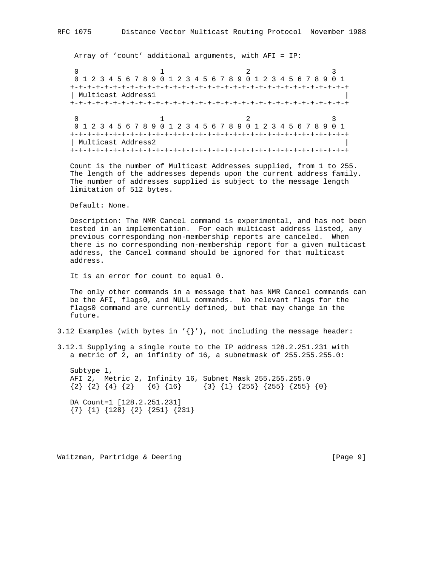Array of 'count' additional arguments, with AFI = IP:

0  $1$  2 3 0 1 2 3 4 5 6 7 8 9 0 1 2 3 4 5 6 7 8 9 0 1 2 3 4 5 6 7 8 9 0 1 +-+-+-+-+-+-+-+-+-+-+-+-+-+-+-+-+-+-+-+-+-+-+-+-+-+-+-+-+-+-+-+-+ | Multicast Address1 | +-+-+-+-+-+-+-+-+-+-+-+-+-+-+-+-+-+-+-+-+-+-+-+-+-+-+-+-+-+-+-+-+ 0  $1$  2 3 0 1 2 3 4 5 6 7 8 9 0 1 2 3 4 5 6 7 8 9 0 1 2 3 4 5 6 7 8 9 0 1 +-+-+-+-+-+-+-+-+-+-+-+-+-+-+-+-+-+-+-+-+-+-+-+-+-+-+-+-+-+-+-+-+ | Multicast Address2 | +-+-+-+-+-+-+-+-+-+-+-+-+-+-+-+-+-+-+-+-+-+-+-+-+-+-+-+-+-+-+-+-+

 Count is the number of Multicast Addresses supplied, from 1 to 255. The length of the addresses depends upon the current address family. The number of addresses supplied is subject to the message length limitation of 512 bytes.

Default: None.

 Description: The NMR Cancel command is experimental, and has not been tested in an implementation. For each multicast address listed, any previous corresponding non-membership reports are canceled. When there is no corresponding non-membership report for a given multicast address, the Cancel command should be ignored for that multicast address.

It is an error for count to equal 0.

 The only other commands in a message that has NMR Cancel commands can be the AFI, flags0, and NULL commands. No relevant flags for the flags0 command are currently defined, but that may change in the future.

3.12 Examples (with bytes in  $\{\}$ '), not including the message header:

3.12.1 Supplying a single route to the IP address 128.2.251.231 with a metric of 2, an infinity of 16, a subnetmask of 255.255.255.0:

 Subtype 1, AFI 2, Metric 2, Infinity 16, Subnet Mask 255.255.255.0  $\{2\}$   $\{4\}$   $\{2\}$   $\{6\}$   $\{16\}$   $\{3\}$   $\{1\}$   $\{255\}$   $\{255\}$   $\{0\}$  DA Count=1 [128.2.251.231] {7} {1} {128} {2} {251} {231}

Waitzman, Partridge & Deering [Page 9]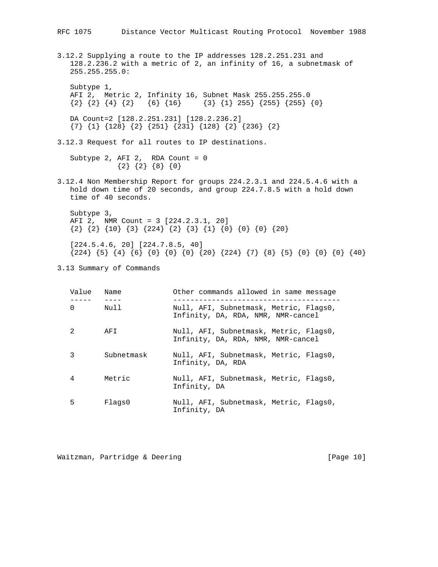3.12.2 Supplying a route to the IP addresses 128.2.251.231 and 128.2.236.2 with a metric of 2, an infinity of 16, a subnetmask of 255.255.255.0: Subtype 1, AFI 2, Metric 2, Infinity 16, Subnet Mask 255.255.255.0  $\{2\}$   $\{4\}$   $\{2\}$   $\{6\}$   $\{16\}$   $\{3\}$   $\{1\}$  255}  $\{255\}$   $\{255\}$   $\{0\}$  DA Count=2 [128.2.251.231] [128.2.236.2] {7} {1} {128} {2} {251} {231} {128} {2} {236} {2} 3.12.3 Request for all routes to IP destinations. Subtype 2, AFI 2, RDA Count = 0  ${2}$   ${2}$   ${8}$   ${0}$ 3.12.4 Non Membership Report for groups 224.2.3.1 and 224.5.4.6 with a hold down time of 20 seconds, and group 224.7.8.5 with a hold down time of 40 seconds. Subtype 3, AFI 2, NMR Count = 3 [224.2.3.1, 20] {2} {2} {10} {3} {224} {2} {3} {1} {0} {0} {0} {20} [224.5.4.6, 20] [224.7.8.5, 40] {224} {5} {4} {6} {0} {0} {0} {20} {224} {7} {8} {5} {0} {0} {0} {40} 3.13 Summary of Commands

| Value    | Name       | Other commands allowed in same message                                       |
|----------|------------|------------------------------------------------------------------------------|
| $\Omega$ | Null       | Null, AFI, Subnetmask, Metric, Flags0,<br>Infinity, DA, RDA, NMR, NMR-cancel |
| 2        | AFI        | Null, AFI, Subnetmask, Metric, Flags0,<br>Infinity, DA, RDA, NMR, NMR-cancel |
| 3        | Subnetmask | Null, AFI, Subnetmask, Metric, Flags0,<br>Infinity, DA, RDA                  |
| 4        | Metric     | Null, AFI, Subnetmask, Metric, Flags0,<br>Infinity, DA                       |
| 5        | Flags0     | Null, AFI, Subnetmask, Metric, Flags0,<br>Infinity, DA                       |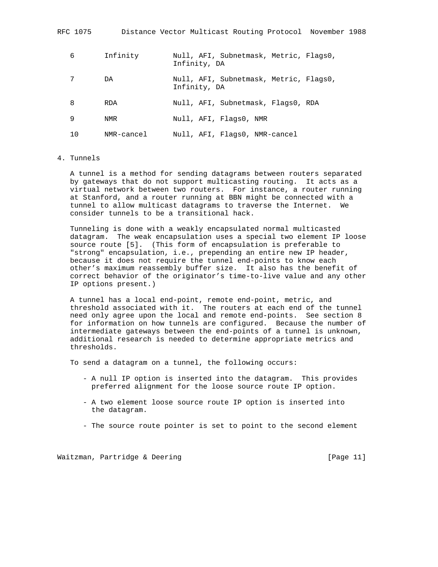| RFC 1075 |            | Distance Vector Multicast Routing Protocol November 1988 |
|----------|------------|----------------------------------------------------------|
| 6        | Infinity   | Null, AFI, Subnetmask, Metric, Flags0,<br>Infinity, DA   |
| 7        | DA         | Null, AFI, Subnetmask, Metric, Flags0,<br>Infinity, DA   |
| 8        | <b>RDA</b> | Null, AFI, Subnetmask, Flags0, RDA                       |
| 9        | NMR        | Null, AFI, Flags0, NMR                                   |
| 10       | NMR-cancel | Null, AFI, Flags0, NMR-cancel                            |

# 4. Tunnels

 A tunnel is a method for sending datagrams between routers separated by gateways that do not support multicasting routing. It acts as a virtual network between two routers. For instance, a router running at Stanford, and a router running at BBN might be connected with a tunnel to allow multicast datagrams to traverse the Internet. We consider tunnels to be a transitional hack.

 Tunneling is done with a weakly encapsulated normal multicasted datagram. The weak encapsulation uses a special two element IP loose source route [5]. (This form of encapsulation is preferable to "strong" encapsulation, i.e., prepending an entire new IP header, because it does not require the tunnel end-points to know each other's maximum reassembly buffer size. It also has the benefit of correct behavior of the originator's time-to-live value and any other IP options present.)

 A tunnel has a local end-point, remote end-point, metric, and threshold associated with it. The routers at each end of the tunnel need only agree upon the local and remote end-points. See section 8 for information on how tunnels are configured. Because the number of intermediate gateways between the end-points of a tunnel is unknown, additional research is needed to determine appropriate metrics and thresholds.

To send a datagram on a tunnel, the following occurs:

- A null IP option is inserted into the datagram. This provides preferred alignment for the loose source route IP option.
- A two element loose source route IP option is inserted into the datagram.
- The source route pointer is set to point to the second element

Waitzman, Partridge & Deering [Page 11]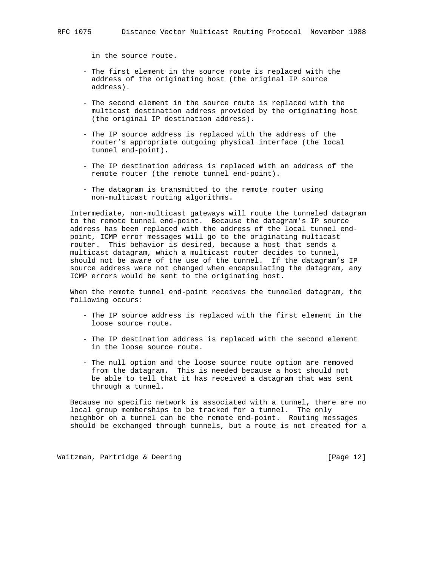in the source route.

- The first element in the source route is replaced with the address of the originating host (the original IP source address).
- The second element in the source route is replaced with the multicast destination address provided by the originating host (the original IP destination address).
- The IP source address is replaced with the address of the router's appropriate outgoing physical interface (the local tunnel end-point).
- The IP destination address is replaced with an address of the remote router (the remote tunnel end-point).
- The datagram is transmitted to the remote router using non-multicast routing algorithms.

 Intermediate, non-multicast gateways will route the tunneled datagram to the remote tunnel end-point. Because the datagram's IP source address has been replaced with the address of the local tunnel end point, ICMP error messages will go to the originating multicast router. This behavior is desired, because a host that sends a multicast datagram, which a multicast router decides to tunnel, should not be aware of the use of the tunnel. If the datagram's IP source address were not changed when encapsulating the datagram, any ICMP errors would be sent to the originating host.

 When the remote tunnel end-point receives the tunneled datagram, the following occurs:

- The IP source address is replaced with the first element in the loose source route.
- The IP destination address is replaced with the second element in the loose source route.
- The null option and the loose source route option are removed from the datagram. This is needed because a host should not be able to tell that it has received a datagram that was sent through a tunnel.

 Because no specific network is associated with a tunnel, there are no local group memberships to be tracked for a tunnel. The only neighbor on a tunnel can be the remote end-point. Routing messages should be exchanged through tunnels, but a route is not created for a

Waitzman, Partridge & Deering [Page 12]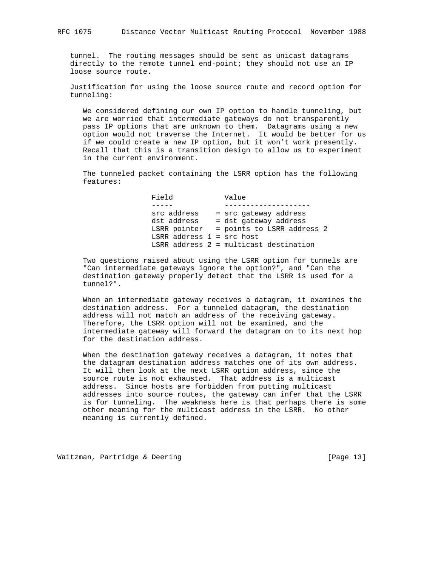tunnel. The routing messages should be sent as unicast datagrams directly to the remote tunnel end-point; they should not use an IP loose source route.

 Justification for using the loose source route and record option for tunneling:

 We considered defining our own IP option to handle tunneling, but we are worried that intermediate gateways do not transparently pass IP options that are unknown to them. Datagrams using a new option would not traverse the Internet. It would be better for us if we could create a new IP option, but it won't work presently. Recall that this is a transition design to allow us to experiment in the current environment.

 The tunneled packet containing the LSRR option has the following features:

 Field Value ----- ------------------- src address - src gateway address dst address - dst gateway address LSRR pointer = points to LSRR address 2 LSRR address 1 = src host LSRR address 2 = multicast destination

 Two questions raised about using the LSRR option for tunnels are "Can intermediate gateways ignore the option?", and "Can the destination gateway properly detect that the LSRR is used for a tunnel?".

 When an intermediate gateway receives a datagram, it examines the destination address. For a tunneled datagram, the destination address will not match an address of the receiving gateway. Therefore, the LSRR option will not be examined, and the intermediate gateway will forward the datagram on to its next hop for the destination address.

 When the destination gateway receives a datagram, it notes that the datagram destination address matches one of its own address. It will then look at the next LSRR option address, since the source route is not exhausted. That address is a multicast address. Since hosts are forbidden from putting multicast addresses into source routes, the gateway can infer that the LSRR is for tunneling. The weakness here is that perhaps there is some other meaning for the multicast address in the LSRR. No other meaning is currently defined.

Waitzman, Partridge & Deering [Page 13]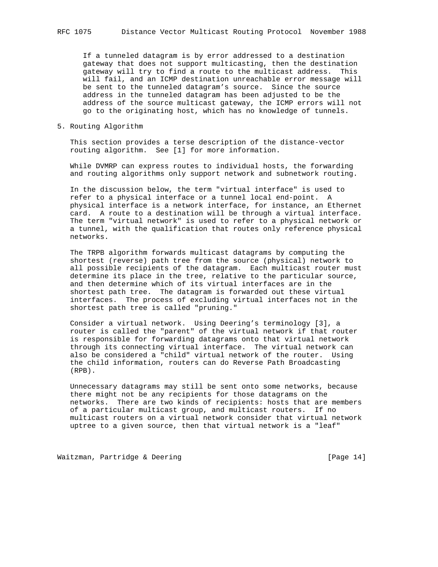If a tunneled datagram is by error addressed to a destination gateway that does not support multicasting, then the destination gateway will try to find a route to the multicast address. This will fail, and an ICMP destination unreachable error message will be sent to the tunneled datagram's source. Since the source address in the tunneled datagram has been adjusted to be the address of the source multicast gateway, the ICMP errors will not go to the originating host, which has no knowledge of tunnels.

5. Routing Algorithm

 This section provides a terse description of the distance-vector routing algorithm. See [1] for more information.

 While DVMRP can express routes to individual hosts, the forwarding and routing algorithms only support network and subnetwork routing.

 In the discussion below, the term "virtual interface" is used to refer to a physical interface or a tunnel local end-point. A physical interface is a network interface, for instance, an Ethernet card. A route to a destination will be through a virtual interface. The term "virtual network" is used to refer to a physical network or a tunnel, with the qualification that routes only reference physical networks.

 The TRPB algorithm forwards multicast datagrams by computing the shortest (reverse) path tree from the source (physical) network to all possible recipients of the datagram. Each multicast router must determine its place in the tree, relative to the particular source, and then determine which of its virtual interfaces are in the shortest path tree. The datagram is forwarded out these virtual interfaces. The process of excluding virtual interfaces not in the shortest path tree is called "pruning."

 Consider a virtual network. Using Deering's terminology [3], a router is called the "parent" of the virtual network if that router is responsible for forwarding datagrams onto that virtual network through its connecting virtual interface. The virtual network can also be considered a "child" virtual network of the router. Using the child information, routers can do Reverse Path Broadcasting (RPB).

 Unnecessary datagrams may still be sent onto some networks, because there might not be any recipients for those datagrams on the networks. There are two kinds of recipients: hosts that are members of a particular multicast group, and multicast routers. If no multicast routers on a virtual network consider that virtual network uptree to a given source, then that virtual network is a "leaf"

Waitzman, Partridge & Deering [Page 14]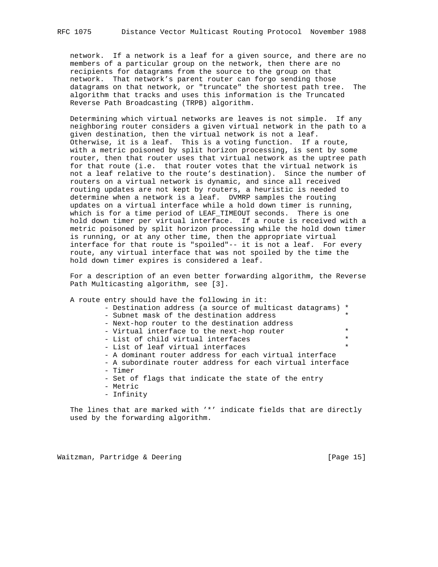network. If a network is a leaf for a given source, and there are no members of a particular group on the network, then there are no recipients for datagrams from the source to the group on that network. That network's parent router can forgo sending those datagrams on that network, or "truncate" the shortest path tree. The algorithm that tracks and uses this information is the Truncated Reverse Path Broadcasting (TRPB) algorithm.

 Determining which virtual networks are leaves is not simple. If any neighboring router considers a given virtual network in the path to a given destination, then the virtual network is not a leaf. Otherwise, it is a leaf. This is a voting function. If a route, with a metric poisoned by split horizon processing, is sent by some router, then that router uses that virtual network as the uptree path for that route (i.e. that router votes that the virtual network is not a leaf relative to the route's destination). Since the number of routers on a virtual network is dynamic, and since all received routing updates are not kept by routers, a heuristic is needed to determine when a network is a leaf. DVMRP samples the routing updates on a virtual interface while a hold down timer is running, which is for a time period of LEAF\_TIMEOUT seconds. There is one hold down timer per virtual interface. If a route is received with a metric poisoned by split horizon processing while the hold down timer is running, or at any other time, then the appropriate virtual interface for that route is "spoiled"-- it is not a leaf. For every route, any virtual interface that was not spoiled by the time the hold down timer expires is considered a leaf.

 For a description of an even better forwarding algorithm, the Reverse Path Multicasting algorithm, see [3].

A route entry should have the following in it:

- Destination address (a source of multicast datagrams) \*

- Subnet mask of the destination address
- Next-hop router to the destination address
- Virtual interface to the next-hop router  $*$ <br>- List of child virtual interfaces
- List of child virtual interfaces
- List of leaf virtual interfaces
- A dominant router address for each virtual interface
- A subordinate router address for each virtual interface - Timer
- Set of flags that indicate the state of the entry
- Metric
- Infinity

 The lines that are marked with '\*' indicate fields that are directly used by the forwarding algorithm.

Waitzman, Partridge & Deering [Page 15]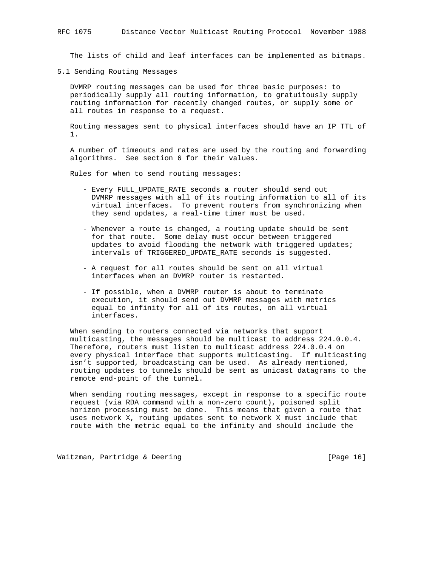The lists of child and leaf interfaces can be implemented as bitmaps.

5.1 Sending Routing Messages

 DVMRP routing messages can be used for three basic purposes: to periodically supply all routing information, to gratuitously supply routing information for recently changed routes, or supply some or all routes in response to a request.

 Routing messages sent to physical interfaces should have an IP TTL of 1.

 A number of timeouts and rates are used by the routing and forwarding algorithms. See section 6 for their values.

Rules for when to send routing messages:

- Every FULL\_UPDATE\_RATE seconds a router should send out DVMRP messages with all of its routing information to all of its virtual interfaces. To prevent routers from synchronizing when they send updates, a real-time timer must be used.
- Whenever a route is changed, a routing update should be sent for that route. Some delay must occur between triggered updates to avoid flooding the network with triggered updates; intervals of TRIGGERED\_UPDATE\_RATE seconds is suggested.
- A request for all routes should be sent on all virtual interfaces when an DVMRP router is restarted.
- If possible, when a DVMRP router is about to terminate execution, it should send out DVMRP messages with metrics equal to infinity for all of its routes, on all virtual interfaces.

 When sending to routers connected via networks that support multicasting, the messages should be multicast to address 224.0.0.4. Therefore, routers must listen to multicast address 224.0.0.4 on every physical interface that supports multicasting. If multicasting isn't supported, broadcasting can be used. As already mentioned, routing updates to tunnels should be sent as unicast datagrams to the remote end-point of the tunnel.

 When sending routing messages, except in response to a specific route request (via RDA command with a non-zero count), poisoned split horizon processing must be done. This means that given a route that uses network X, routing updates sent to network X must include that route with the metric equal to the infinity and should include the

Waitzman, Partridge & Deering [Page 16]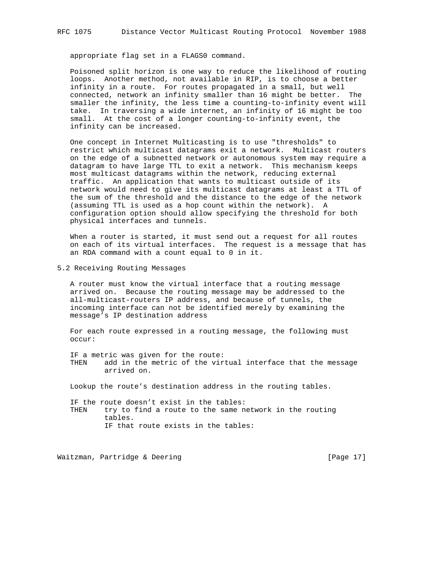appropriate flag set in a FLAGS0 command.

 Poisoned split horizon is one way to reduce the likelihood of routing loops. Another method, not available in RIP, is to choose a better infinity in a route. For routes propagated in a small, but well connected, network an infinity smaller than 16 might be better. The smaller the infinity, the less time a counting-to-infinity event will take. In traversing a wide internet, an infinity of 16 might be too small. At the cost of a longer counting-to-infinity event, the infinity can be increased.

 One concept in Internet Multicasting is to use "thresholds" to restrict which multicast datagrams exit a network. Multicast routers on the edge of a subnetted network or autonomous system may require a datagram to have large TTL to exit a network. This mechanism keeps most multicast datagrams within the network, reducing external traffic. An application that wants to multicast outside of its network would need to give its multicast datagrams at least a TTL of the sum of the threshold and the distance to the edge of the network (assuming TTL is used as a hop count within the network). A configuration option should allow specifying the threshold for both physical interfaces and tunnels.

 When a router is started, it must send out a request for all routes on each of its virtual interfaces. The request is a message that has an RDA command with a count equal to 0 in it.

5.2 Receiving Routing Messages

 A router must know the virtual interface that a routing message arrived on. Because the routing message may be addressed to the all-multicast-routers IP address, and because of tunnels, the incoming interface can not be identified merely by examining the message's IP destination address

 For each route expressed in a routing message, the following must occur:

 IF a metric was given for the route: THEN add in the metric of the virtual interface that the message arrived on.

Lookup the route's destination address in the routing tables.

 IF the route doesn't exist in the tables: THEN try to find a route to the same network in the routing tables. IF that route exists in the tables:

Waitzman, Partridge & Deering [Page 17]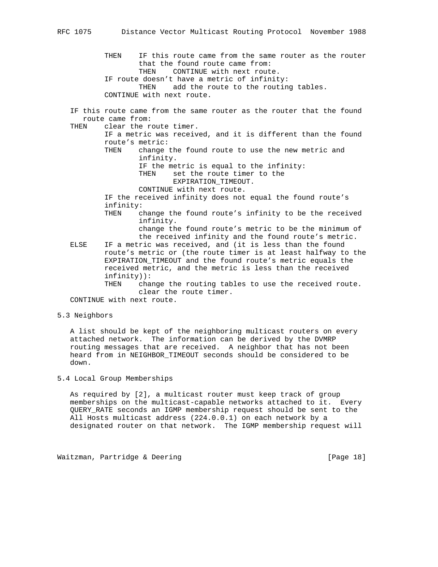THEN IF this route came from the same router as the router that the found route came from: THEN CONTINUE with next route. IF route doesn't have a metric of infinity: THEN add the route to the routing tables. CONTINUE with next route. IF this route came from the same router as the router that the found route came from: THEN clear the route timer. IF a metric was received, and it is different than the found route's metric: THEN change the found route to use the new metric and infinity. IF the metric is equal to the infinity: THEN set the route timer to the EXPIRATION\_TIMEOUT. CONTINUE with next route. IF the received infinity does not equal the found route's infinity: THEN change the found route's infinity to be the received infinity. change the found route's metric to be the minimum of the received infinity and the found route's metric. ELSE IF a metric was received, and (it is less than the found route's metric or (the route timer is at least halfway to the EXPIRATION\_TIMEOUT and the found route's metric equals the received metric, and the metric is less than the received infinity)): THEN change the routing tables to use the received route. clear the route timer.

CONTINUE with next route.

#### 5.3 Neighbors

 A list should be kept of the neighboring multicast routers on every attached network. The information can be derived by the DVMRP routing messages that are received. A neighbor that has not been heard from in NEIGHBOR\_TIMEOUT seconds should be considered to be down.

5.4 Local Group Memberships

 As required by [2], a multicast router must keep track of group memberships on the multicast-capable networks attached to it. Every QUERY\_RATE seconds an IGMP membership request should be sent to the All Hosts multicast address (224.0.0.1) on each network by a designated router on that network. The IGMP membership request will

Waitzman, Partridge & Deering [Page 18]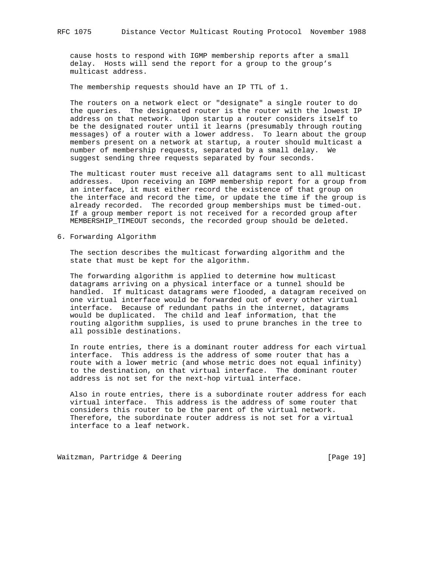cause hosts to respond with IGMP membership reports after a small delay. Hosts will send the report for a group to the group's multicast address.

The membership requests should have an IP TTL of 1.

 The routers on a network elect or "designate" a single router to do the queries. The designated router is the router with the lowest IP address on that network. Upon startup a router considers itself to be the designated router until it learns (presumably through routing messages) of a router with a lower address. To learn about the group members present on a network at startup, a router should multicast a number of membership requests, separated by a small delay. We suggest sending three requests separated by four seconds.

 The multicast router must receive all datagrams sent to all multicast addresses. Upon receiving an IGMP membership report for a group from an interface, it must either record the existence of that group on the interface and record the time, or update the time if the group is already recorded. The recorded group memberships must be timed-out. If a group member report is not received for a recorded group after MEMBERSHIP\_TIMEOUT seconds, the recorded group should be deleted.

6. Forwarding Algorithm

 The section describes the multicast forwarding algorithm and the state that must be kept for the algorithm.

 The forwarding algorithm is applied to determine how multicast datagrams arriving on a physical interface or a tunnel should be handled. If multicast datagrams were flooded, a datagram received on one virtual interface would be forwarded out of every other virtual interface. Because of redundant paths in the internet, datagrams would be duplicated. The child and leaf information, that the routing algorithm supplies, is used to prune branches in the tree to all possible destinations.

 In route entries, there is a dominant router address for each virtual interface. This address is the address of some router that has a route with a lower metric (and whose metric does not equal infinity) to the destination, on that virtual interface. The dominant router address is not set for the next-hop virtual interface.

 Also in route entries, there is a subordinate router address for each virtual interface. This address is the address of some router that considers this router to be the parent of the virtual network. Therefore, the subordinate router address is not set for a virtual interface to a leaf network.

Waitzman, Partridge & Deering [Page 19]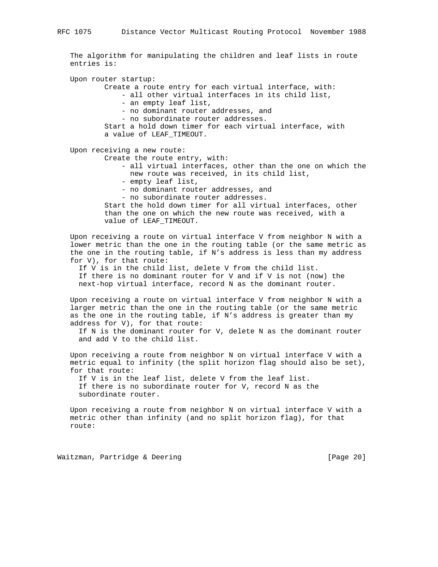The algorithm for manipulating the children and leaf lists in route entries is:

Upon router startup:

Create a route entry for each virtual interface, with:

- all other virtual interfaces in its child list,

- an empty leaf list,

- no dominant router addresses, and

- no subordinate router addresses.

 Start a hold down timer for each virtual interface, with a value of LEAF\_TIMEOUT.

Upon receiving a new route:

Create the route entry, with:

- all virtual interfaces, other than the one on which the new route was received, in its child list,
- empty leaf list,
- no dominant router addresses, and
- no subordinate router addresses.

 Start the hold down timer for all virtual interfaces, other than the one on which the new route was received, with a value of LEAF\_TIMEOUT.

 Upon receiving a route on virtual interface V from neighbor N with a lower metric than the one in the routing table (or the same metric as the one in the routing table, if N's address is less than my address for V), for that route:

 If V is in the child list, delete V from the child list. If there is no dominant router for V and if V is not (now) the next-hop virtual interface, record N as the dominant router.

 Upon receiving a route on virtual interface V from neighbor N with a larger metric than the one in the routing table (or the same metric as the one in the routing table, if N's address is greater than my address for V), for that route:

 If N is the dominant router for V, delete N as the dominant router and add V to the child list.

 Upon receiving a route from neighbor N on virtual interface V with a metric equal to infinity (the split horizon flag should also be set), for that route:

 If V is in the leaf list, delete V from the leaf list. If there is no subordinate router for V, record N as the subordinate router.

 Upon receiving a route from neighbor N on virtual interface V with a metric other than infinity (and no split horizon flag), for that route:

Waitzman, Partridge & Deering [Page 20]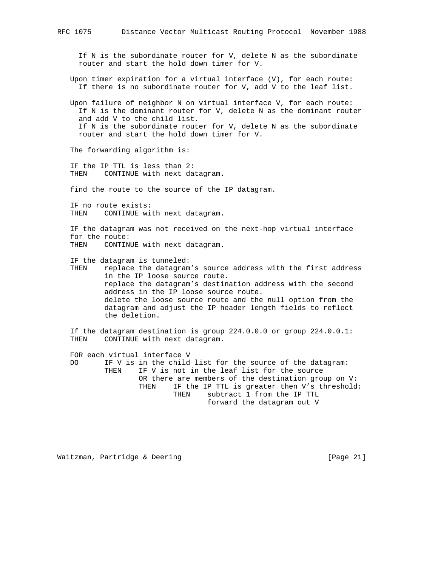RFC 1075 Distance Vector Multicast Routing Protocol November 1988 If N is the subordinate router for V, delete N as the subordinate router and start the hold down timer for V. Upon timer expiration for a virtual interface (V), for each route: If there is no subordinate router for V, add V to the leaf list. Upon failure of neighbor N on virtual interface V, for each route: If N is the dominant router for V, delete N as the dominant router and add V to the child list. If N is the subordinate router for V, delete N as the subordinate router and start the hold down timer for V. The forwarding algorithm is: IF the IP TTL is less than 2: THEN CONTINUE with next datagram. find the route to the source of the IP datagram.

 IF no route exists: THEN CONTINUE with next datagram.

 IF the datagram was not received on the next-hop virtual interface for the route: THEN CONTINUE with next datagram.

IF the datagram is tunneled:

 THEN replace the datagram's source address with the first address in the IP loose source route. replace the datagram's destination address with the second address in the IP loose source route. delete the loose source route and the null option from the datagram and adjust the IP header length fields to reflect the deletion.

 If the datagram destination is group 224.0.0.0 or group 224.0.0.1: THEN CONTINUE with next datagram.

 FOR each virtual interface V DO IF V is in the child list for the source of the datagram: THEN IF V is not in the leaf list for the source OR there are members of the destination group on V: THEN IF the IP TTL is greater then V's threshold: THEN subtract 1 from the IP TTL forward the datagram out V

Waitzman, Partridge & Deering [Page 21]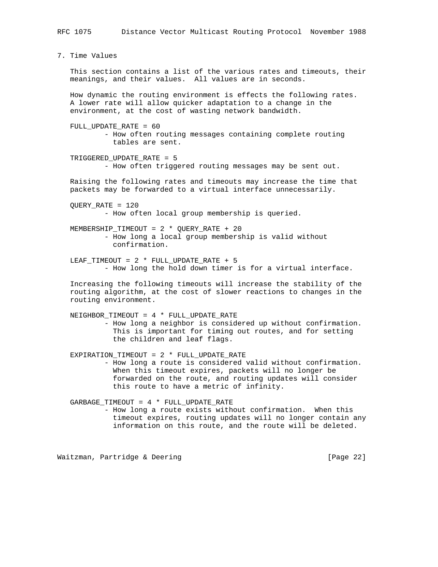7. Time Values This section contains a list of the various rates and timeouts, their meanings, and their values. All values are in seconds. How dynamic the routing environment is effects the following rates. A lower rate will allow quicker adaptation to a change in the environment, at the cost of wasting network bandwidth.

FULL UPDATE RATE =  $60$  - How often routing messages containing complete routing tables are sent.

 TRIGGERED\_UPDATE\_RATE = 5 - How often triggered routing messages may be sent out.

 Raising the following rates and timeouts may increase the time that packets may be forwarded to a virtual interface unnecessarily.

 QUERY\_RATE = 120 - How often local group membership is queried.

 MEMBERSHIP\_TIMEOUT = 2 \* QUERY\_RATE + 20 - How long a local group membership is valid without confirmation.

 LEAF\_TIMEOUT = 2 \* FULL\_UPDATE\_RATE + 5 - How long the hold down timer is for a virtual interface.

 Increasing the following timeouts will increase the stability of the routing algorithm, at the cost of slower reactions to changes in the routing environment.

NEIGHBOR TIMEOUT =  $4 *$  FULL UPDATE RATE - How long a neighbor is considered up without confirmation. This is important for timing out routes, and for setting the children and leaf flags.

 EXPIRATION\_TIMEOUT = 2 \* FULL\_UPDATE\_RATE - How long a route is considered valid without confirmation. When this timeout expires, packets will no longer be forwarded on the route, and routing updates will consider this route to have a metric of infinity.

GARBAGE TIMEOUT =  $4 *$  FULL\_UPDATE\_RATE

 - How long a route exists without confirmation. When this timeout expires, routing updates will no longer contain any information on this route, and the route will be deleted.

Waitzman, Partridge & Deering [Page 22]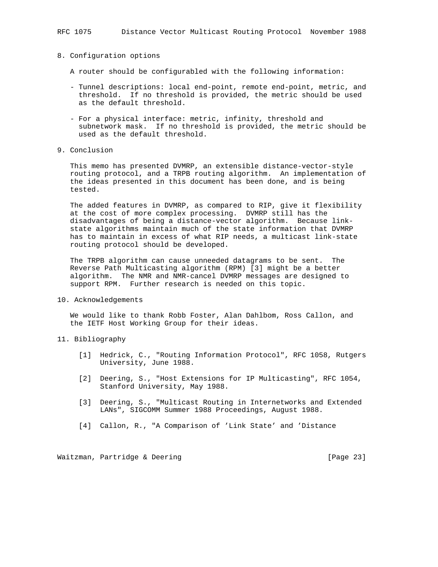### 8. Configuration options

- A router should be configurabled with the following information:
- Tunnel descriptions: local end-point, remote end-point, metric, and threshold. If no threshold is provided, the metric should be used as the default threshold.
- For a physical interface: metric, infinity, threshold and subnetwork mask. If no threshold is provided, the metric should be used as the default threshold.
- 9. Conclusion

 This memo has presented DVMRP, an extensible distance-vector-style routing protocol, and a TRPB routing algorithm. An implementation of the ideas presented in this document has been done, and is being tested.

 The added features in DVMRP, as compared to RIP, give it flexibility at the cost of more complex processing. DVMRP still has the disadvantages of being a distance-vector algorithm. Because link state algorithms maintain much of the state information that DVMRP has to maintain in excess of what RIP needs, a multicast link-state routing protocol should be developed.

 The TRPB algorithm can cause unneeded datagrams to be sent. The Reverse Path Multicasting algorithm (RPM) [3] might be a better algorithm. The NMR and NMR-cancel DVMRP messages are designed to support RPM. Further research is needed on this topic.

10. Acknowledgements

 We would like to thank Robb Foster, Alan Dahlbom, Ross Callon, and the IETF Host Working Group for their ideas.

- 11. Bibliography
	- [1] Hedrick, C., "Routing Information Protocol", RFC 1058, Rutgers University, June 1988.
	- [2] Deering, S., "Host Extensions for IP Multicasting", RFC 1054, Stanford University, May 1988.
	- [3] Deering, S., "Multicast Routing in Internetworks and Extended LANs", SIGCOMM Summer 1988 Proceedings, August 1988.
	- [4] Callon, R., "A Comparison of 'Link State' and 'Distance

Waitzman, Partridge & Deering [Page 23]